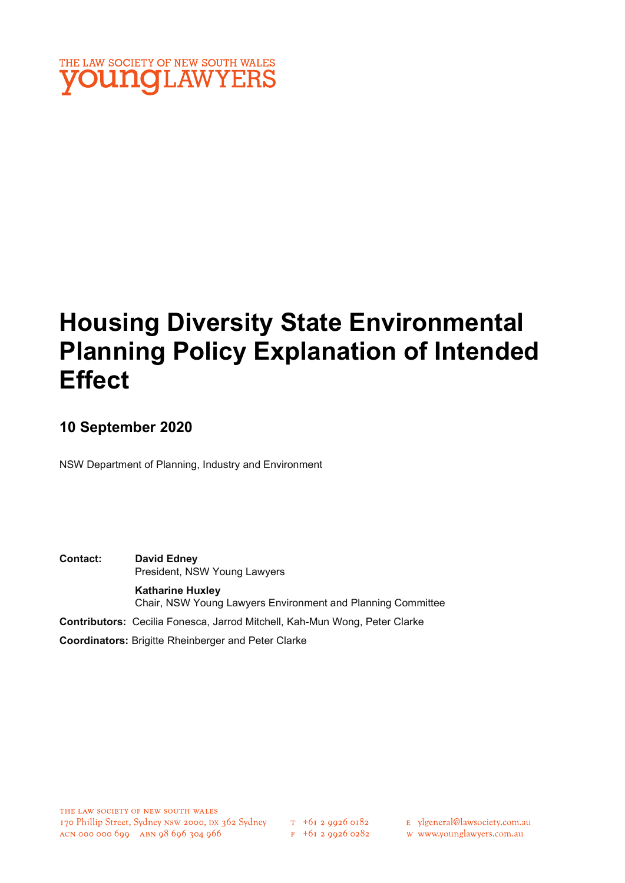

# Housing Diversity State Environmental Planning Policy Explanation of Intended **Effect**

# 10 September 2020

NSW Department of Planning, Industry and Environment

Contact: David Edney President, NSW Young Lawyers Katharine Huxley Chair, NSW Young Lawyers Environment and Planning Committee Contributors: Cecilia Fonesca, Jarrod Mitchell, Kah-Mun Wong, Peter Clarke

Coordinators: Brigitte Rheinberger and Peter Clarke

- E ylgeneral@lawsociety.com.au
- w www.younglawyers.com.au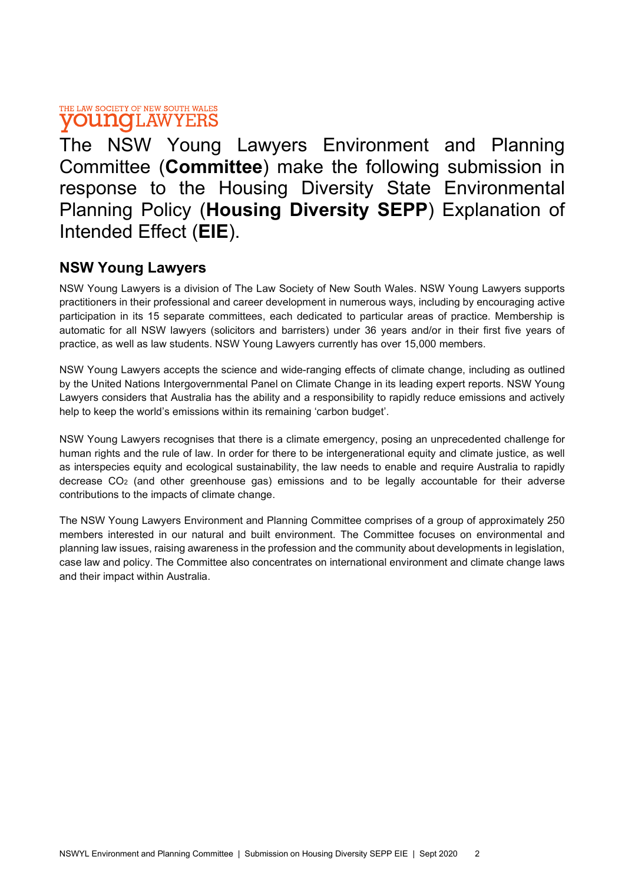# THE LAW SOCIETY OF NEW SOUTH WALES **young**LAWYERS

The NSW Young Lawyers Environment and Planning Committee (Committee) make the following submission in response to the Housing Diversity State Environmental Planning Policy (Housing Diversity SEPP) Explanation of Intended Effect (EIE).

# NSW Young Lawyers

NSW Young Lawyers is a division of The Law Society of New South Wales. NSW Young Lawyers supports practitioners in their professional and career development in numerous ways, including by encouraging active participation in its 15 separate committees, each dedicated to particular areas of practice. Membership is automatic for all NSW lawyers (solicitors and barristers) under 36 years and/or in their first five years of practice, as well as law students. NSW Young Lawyers currently has over 15,000 members.

NSW Young Lawyers accepts the science and wide-ranging effects of climate change, including as outlined by the United Nations Intergovernmental Panel on Climate Change in its leading expert reports. NSW Young Lawyers considers that Australia has the ability and a responsibility to rapidly reduce emissions and actively help to keep the world's emissions within its remaining 'carbon budget'.

NSW Young Lawyers recognises that there is a climate emergency, posing an unprecedented challenge for human rights and the rule of law. In order for there to be intergenerational equity and climate justice, as well as interspecies equity and ecological sustainability, the law needs to enable and require Australia to rapidly decrease  $CO<sub>2</sub>$  (and other greenhouse gas) emissions and to be legally accountable for their adverse contributions to the impacts of climate change.

The NSW Young Lawyers Environment and Planning Committee comprises of a group of approximately 250 members interested in our natural and built environment. The Committee focuses on environmental and planning law issues, raising awareness in the profession and the community about developments in legislation, case law and policy. The Committee also concentrates on international environment and climate change laws and their impact within Australia.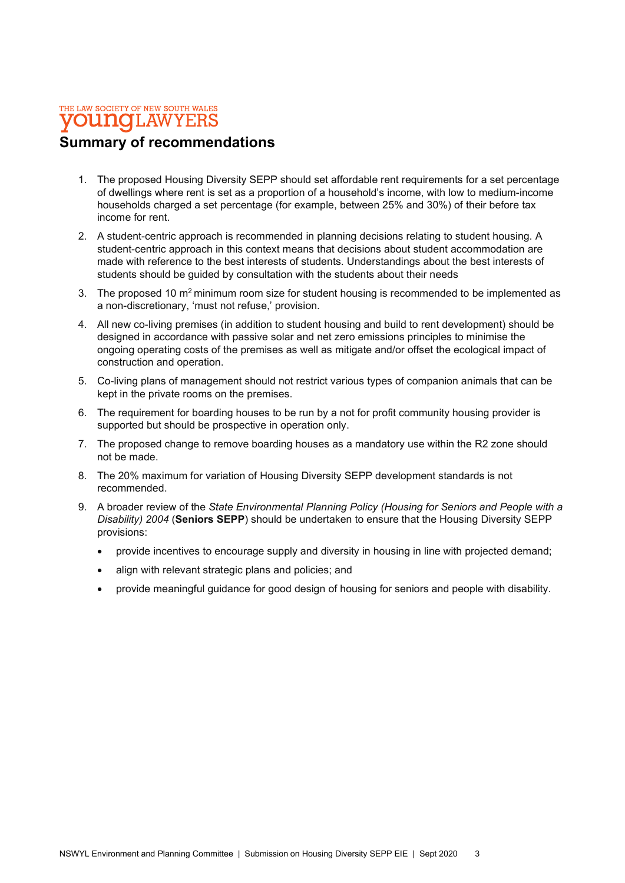### THE LAW SOCIETY OF NEW SOUTH WALES **OUNCLAWYERS**

# Summary of recommendations

- 1. The proposed Housing Diversity SEPP should set affordable rent requirements for a set percentage of dwellings where rent is set as a proportion of a household's income, with low to medium-income households charged a set percentage (for example, between 25% and 30%) of their before tax income for rent.
- 2. A student-centric approach is recommended in planning decisions relating to student housing. A student-centric approach in this context means that decisions about student accommodation are made with reference to the best interests of students. Understandings about the best interests of students should be guided by consultation with the students about their needs
- 3. The proposed 10 m<sup>2</sup> minimum room size for student housing is recommended to be implemented as a non-discretionary, 'must not refuse,' provision.
- 4. All new co-living premises (in addition to student housing and build to rent development) should be designed in accordance with passive solar and net zero emissions principles to minimise the ongoing operating costs of the premises as well as mitigate and/or offset the ecological impact of construction and operation.
- 5. Co-living plans of management should not restrict various types of companion animals that can be kept in the private rooms on the premises.
- 6. The requirement for boarding houses to be run by a not for profit community housing provider is supported but should be prospective in operation only.
- 7. The proposed change to remove boarding houses as a mandatory use within the R2 zone should not be made.
- 8. The 20% maximum for variation of Housing Diversity SEPP development standards is not recommended.
- 9. A broader review of the State Environmental Planning Policy (Housing for Seniors and People with a Disability) 2004 (Seniors SEPP) should be undertaken to ensure that the Housing Diversity SEPP provisions:
	- provide incentives to encourage supply and diversity in housing in line with projected demand;
	- align with relevant strategic plans and policies; and
	- provide meaningful guidance for good design of housing for seniors and people with disability.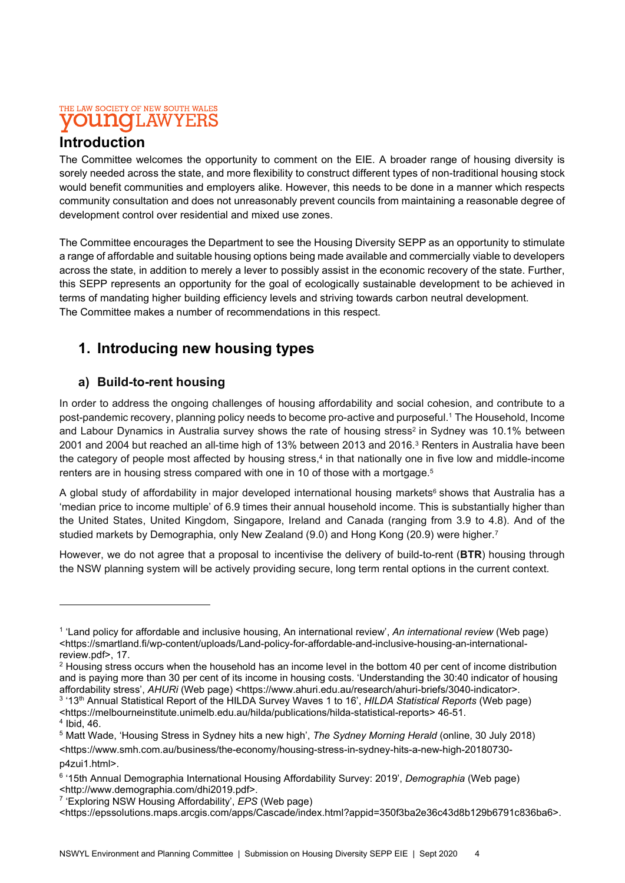### THE LAW SOCIETY OF NEW SOUTH WALES **OUITIC I.AWYEH**

# Introduction

The Committee welcomes the opportunity to comment on the EIE. A broader range of housing diversity is sorely needed across the state, and more flexibility to construct different types of non-traditional housing stock would benefit communities and employers alike. However, this needs to be done in a manner which respects community consultation and does not unreasonably prevent councils from maintaining a reasonable degree of development control over residential and mixed use zones.

The Committee encourages the Department to see the Housing Diversity SEPP as an opportunity to stimulate a range of affordable and suitable housing options being made available and commercially viable to developers across the state, in addition to merely a lever to possibly assist in the economic recovery of the state. Further, this SEPP represents an opportunity for the goal of ecologically sustainable development to be achieved in terms of mandating higher building efficiency levels and striving towards carbon neutral development. The Committee makes a number of recommendations in this respect.

# 1. Introducing new housing types

# a) Build-to-rent housing

In order to address the ongoing challenges of housing affordability and social cohesion, and contribute to a post-pandemic recovery, planning policy needs to become pro-active and purposeful.<sup>1</sup> The Household, Income and Labour Dynamics in Australia survey shows the rate of housing stress<sup>2</sup> in Sydney was 10.1% between 2001 and 2004 but reached an all-time high of 13% between 2013 and 2016. ${}^{3}$  Renters in Australia have been the category of people most affected by housing stress,<sup>4</sup> in that nationally one in five low and middle-income renters are in housing stress compared with one in 10 of those with a mortgage.<sup>5</sup>

A global study of affordability in major developed international housing markets<sup>6</sup> shows that Australia has a 'median price to income multiple' of 6.9 times their annual household income. This is substantially higher than the United States, United Kingdom, Singapore, Ireland and Canada (ranging from 3.9 to 4.8). And of the studied markets by Demographia, only New Zealand (9.0) and Hong Kong (20.9) were higher.<sup>7</sup>

However, we do not agree that a proposal to incentivise the delivery of build-to-rent (BTR) housing through the NSW planning system will be actively providing secure, long term rental options in the current context.

<sup>3</sup> '13<sup>th</sup> Annual Statistical Report of the HILDA Survey Waves 1 to 16', HILDA Statistical Reports (Web page) <https://melbourneinstitute.unimelb.edu.au/hilda/publications/hilda-statistical-reports> 46-51. 4 Ibid, 46.

p4zui1.html>.

<sup>&</sup>lt;sup>1</sup> 'Land policy for affordable and inclusive housing, An international review', An international review (Web page) <https://smartland.fi/wp-content/uploads/Land-policy-for-affordable-and-inclusive-housing-an-internationalreview.pdf>, 17.

 $^2$  Housing stress occurs when the household has an income level in the bottom 40 per cent of income distribution and is paying more than 30 per cent of its income in housing costs. 'Understanding the 30:40 indicator of housing affordability stress', AHURi (Web page) <https://www.ahuri.edu.au/research/ahuri-briefs/3040-indicator>.

<sup>&</sup>lt;sup>5</sup> Matt Wade, 'Housing Stress in Sydney hits a new high', *The Sydney Morning Herald* (online, 30 July 2018) <https://www.smh.com.au/business/the-economy/housing-stress-in-sydney-hits-a-new-high-20180730-

<sup>&</sup>lt;sup>6</sup> '15th Annual Demographia International Housing Affordability Survey: 2019', Demographia (Web page) <http://www.demographia.com/dhi2019.pdf>.

<sup>&</sup>lt;sup>7</sup> 'Exploring NSW Housing Affordability', *EPS* (Web page)

<sup>&</sup>lt;https://epssolutions.maps.arcgis.com/apps/Cascade/index.html?appid=350f3ba2e36c43d8b129b6791c836ba6>.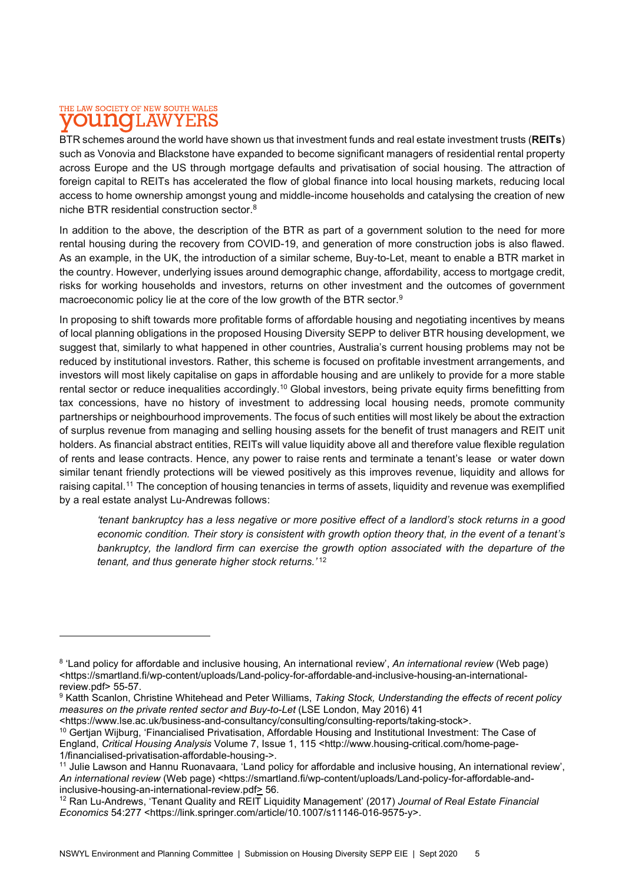#### THE LAW SOCIETY OF NEW SOUTH WALES nnaio 1.AW

BTR schemes around the world have shown us that investment funds and real estate investment trusts (REITs) such as Vonovia and Blackstone have expanded to become significant managers of residential rental property across Europe and the US through mortgage defaults and privatisation of social housing. The attraction of foreign capital to REITs has accelerated the flow of global finance into local housing markets, reducing local access to home ownership amongst young and middle-income households and catalysing the creation of new niche BTR residential construction sector.<sup>8</sup>

In addition to the above, the description of the BTR as part of a government solution to the need for more rental housing during the recovery from COVID-19, and generation of more construction jobs is also flawed. As an example, in the UK, the introduction of a similar scheme, Buy-to-Let, meant to enable a BTR market in the country. However, underlying issues around demographic change, affordability, access to mortgage credit, risks for working households and investors, returns on other investment and the outcomes of government macroeconomic policy lie at the core of the low growth of the BTR sector.<sup>9</sup>

In proposing to shift towards more profitable forms of affordable housing and negotiating incentives by means of local planning obligations in the proposed Housing Diversity SEPP to deliver BTR housing development, we suggest that, similarly to what happened in other countries, Australia's current housing problems may not be reduced by institutional investors. Rather, this scheme is focused on profitable investment arrangements, and investors will most likely capitalise on gaps in affordable housing and are unlikely to provide for a more stable rental sector or reduce inequalities accordingly.<sup>10</sup> Global investors, being private equity firms benefitting from tax concessions, have no history of investment to addressing local housing needs, promote community partnerships or neighbourhood improvements. The focus of such entities will most likely be about the extraction of surplus revenue from managing and selling housing assets for the benefit of trust managers and REIT unit holders. As financial abstract entities, REITs will value liquidity above all and therefore value flexible regulation of rents and lease contracts. Hence, any power to raise rents and terminate a tenant's lease or water down similar tenant friendly protections will be viewed positively as this improves revenue, liquidity and allows for raising capital.<sup>11</sup> The conception of housing tenancies in terms of assets, liquidity and revenue was exemplified by a real estate analyst Lu-Andrewas follows:

'tenant bankruptcy has a less negative or more positive effect of a landlord's stock returns in a good economic condition. Their story is consistent with growth option theory that, in the event of a tenant's bankruptcy, the landlord firm can exercise the growth option associated with the departure of the tenant, and thus generate higher stock returns.<sup>'12</sup>

<sup>&</sup>lt;sup>8</sup> 'Land policy for affordable and inclusive housing, An international review', *An international review* (Web page) <https://smartland.fi/wp-content/uploads/Land-policy-for-affordable-and-inclusive-housing-an-internationalreview.pdf> 55-57.

<sup>&</sup>lt;sup>9</sup> Katth Scanlon, Christine Whitehead and Peter Williams, *Taking Stock, Understanding the effects of recent policy* measures on the private rented sector and Buy-to-Let (LSE London, May 2016) 41

<sup>&</sup>lt;https://www.lse.ac.uk/business-and-consultancy/consulting/consulting-reports/taking-stock>.

<sup>&</sup>lt;sup>10</sup> Gertjan Wijburg, 'Financialised Privatisation, Affordable Housing and Institutional Investment: The Case of England, Critical Housing Analysis Volume 7, Issue 1, 115 <http://www.housing-critical.com/home-page-1/financialised-privatisation-affordable-housing->.

<sup>&</sup>lt;sup>11</sup> Julie Lawson and Hannu Ruonavaara, 'Land policy for affordable and inclusive housing, An international review', An international review (Web page) <https://smartland.fi/wp-content/uploads/Land-policy-for-affordable-andinclusive-housing-an-international-review.pdf> 56.

<sup>&</sup>lt;sup>12</sup> Ran Lu-Andrews, 'Tenant Quality and REIT Liquidity Management' (2017) Journal of Real Estate Financial Economics 54:277 <https://link.springer.com/article/10.1007/s11146-016-9575-y>.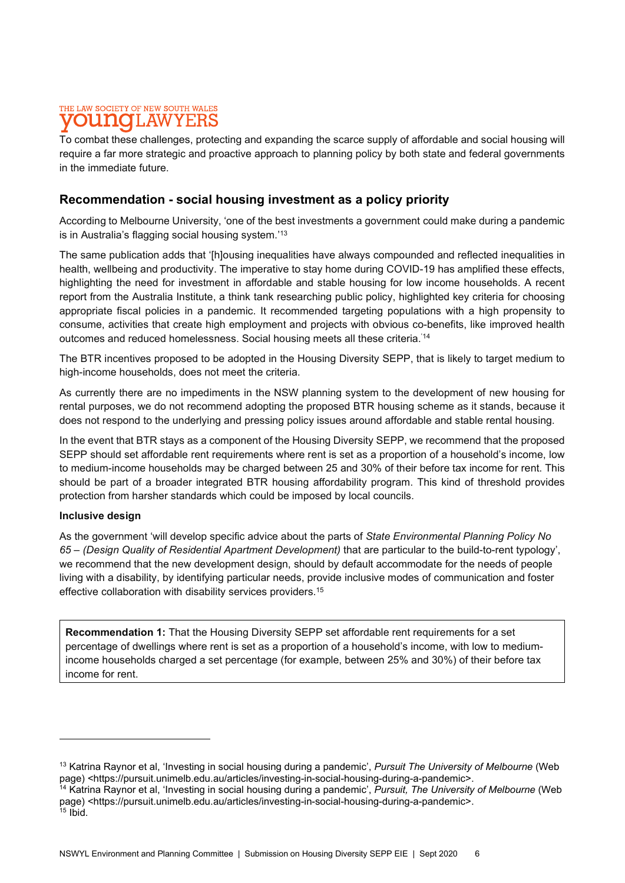# THE LAW SOCIETY OF NEW SOUTH WALES 1.AW

To combat these challenges, protecting and expanding the scarce supply of affordable and social housing will require a far more strategic and proactive approach to planning policy by both state and federal governments in the immediate future.

# Recommendation - social housing investment as a policy priority

According to Melbourne University, 'one of the best investments a government could make during a pandemic is in Australia's flagging social housing system.'<sup>13</sup>

The same publication adds that '[h]ousing inequalities have always compounded and reflected inequalities in health, wellbeing and productivity. The imperative to stay home during COVID-19 has amplified these effects, highlighting the need for investment in affordable and stable housing for low income households. A recent report from the Australia Institute, a think tank researching public policy, highlighted key criteria for choosing appropriate fiscal policies in a pandemic. It recommended targeting populations with a high propensity to consume, activities that create high employment and projects with obvious co-benefits, like improved health outcomes and reduced homelessness. Social housing meets all these criteria.<sup>'14</sup>

The BTR incentives proposed to be adopted in the Housing Diversity SEPP, that is likely to target medium to high-income households, does not meet the criteria.

As currently there are no impediments in the NSW planning system to the development of new housing for rental purposes, we do not recommend adopting the proposed BTR housing scheme as it stands, because it does not respond to the underlying and pressing policy issues around affordable and stable rental housing.

In the event that BTR stays as a component of the Housing Diversity SEPP, we recommend that the proposed SEPP should set affordable rent requirements where rent is set as a proportion of a household's income, low to medium-income households may be charged between 25 and 30% of their before tax income for rent. This should be part of a broader integrated BTR housing affordability program. This kind of threshold provides protection from harsher standards which could be imposed by local councils.

### Inclusive design

As the government 'will develop specific advice about the parts of State Environmental Planning Policy No 65 – (Design Quality of Residential Apartment Development) that are particular to the build-to-rent typology', we recommend that the new development design, should by default accommodate for the needs of people living with a disability, by identifying particular needs, provide inclusive modes of communication and foster effective collaboration with disability services providers.<sup>15</sup>

Recommendation 1: That the Housing Diversity SEPP set affordable rent requirements for a set percentage of dwellings where rent is set as a proportion of a household's income, with low to mediumincome households charged a set percentage (for example, between 25% and 30%) of their before tax income for rent.

<sup>&</sup>lt;sup>13</sup> Katrina Raynor et al, 'Investing in social housing during a pandemic', Pursuit The University of Melbourne (Web page) <https://pursuit.unimelb.edu.au/articles/investing-in-social-housing-during-a-pandemic>.

<sup>&</sup>lt;sup>14</sup> Katrina Raynor et al, 'Investing in social housing during a pandemic', *Pursuit, The University of Melbourne* (Web page) <https://pursuit.unimelb.edu.au/articles/investing-in-social-housing-during-a-pandemic>.  $15$  Ibid.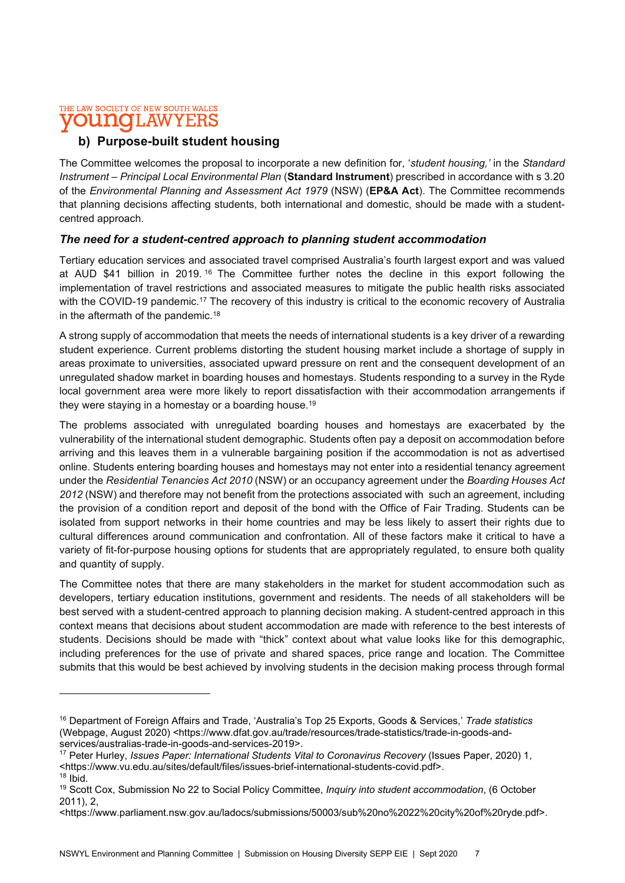### THE LAW SOCIETY OF NEW SOUTH WALES **OUNCILAWYEE**

# b) Purpose-built student housing

The Committee welcomes the proposal to incorporate a new definition for, 'student housing,' in the Standard Instrument – Principal Local Environmental Plan (Standard Instrument) prescribed in accordance with s 3.20 of the Environmental Planning and Assessment Act 1979 (NSW) (EP&A Act). The Committee recommends that planning decisions affecting students, both international and domestic, should be made with a studentcentred approach.

# The need for a student-centred approach to planning student accommodation

Tertiary education services and associated travel comprised Australia's fourth largest export and was valued at AUD \$41 billion in 2019. <sup>16</sup> The Committee further notes the decline in this export following the implementation of travel restrictions and associated measures to mitigate the public health risks associated with the COVID-19 pandemic.<sup>17</sup> The recovery of this industry is critical to the economic recovery of Australia in the aftermath of the pandemic.<sup>18</sup>

A strong supply of accommodation that meets the needs of international students is a key driver of a rewarding student experience. Current problems distorting the student housing market include a shortage of supply in areas proximate to universities, associated upward pressure on rent and the consequent development of an unregulated shadow market in boarding houses and homestays. Students responding to a survey in the Ryde local government area were more likely to report dissatisfaction with their accommodation arrangements if they were staying in a homestay or a boarding house.<sup>19</sup>

The problems associated with unregulated boarding houses and homestays are exacerbated by the vulnerability of the international student demographic. Students often pay a deposit on accommodation before arriving and this leaves them in a vulnerable bargaining position if the accommodation is not as advertised online. Students entering boarding houses and homestays may not enter into a residential tenancy agreement under the Residential Tenancies Act 2010 (NSW) or an occupancy agreement under the Boarding Houses Act 2012 (NSW) and therefore may not benefit from the protections associated with such an agreement, including the provision of a condition report and deposit of the bond with the Office of Fair Trading. Students can be isolated from support networks in their home countries and may be less likely to assert their rights due to cultural differences around communication and confrontation. All of these factors make it critical to have a variety of fit-for-purpose housing options for students that are appropriately regulated, to ensure both quality and quantity of supply.

The Committee notes that there are many stakeholders in the market for student accommodation such as developers, tertiary education institutions, government and residents. The needs of all stakeholders will be best served with a student-centred approach to planning decision making. A student-centred approach in this context means that decisions about student accommodation are made with reference to the best interests of students. Decisions should be made with "thick" context about what value looks like for this demographic, including preferences for the use of private and shared spaces, price range and location. The Committee submits that this would be best achieved by involving students in the decision making process through formal

<sup>17</sup> Peter Hurley, *Issues Paper: International Students Vital to Coronavirus Recovery* (Issues Paper, 2020) 1, <https://www.vu.edu.au/sites/default/files/issues-brief-international-students-covid.pdf>.  $18$  Ibid.

<sup>&</sup>lt;sup>16</sup> Department of Foreign Affairs and Trade, 'Australia's Top 25 Exports, Goods & Services,' Trade statistics (Webpage, August 2020) <https://www.dfat.gov.au/trade/resources/trade-statistics/trade-in-goods-andservices/australias-trade-in-goods-and-services-2019>.

<sup>&</sup>lt;sup>19</sup> Scott Cox, Submission No 22 to Social Policy Committee, Inquiry into student accommodation, (6 October  $2011$ ),  $2$ 

<sup>&</sup>lt;https://www.parliament.nsw.gov.au/ladocs/submissions/50003/sub%20no%2022%20city%20of%20ryde.pdf>.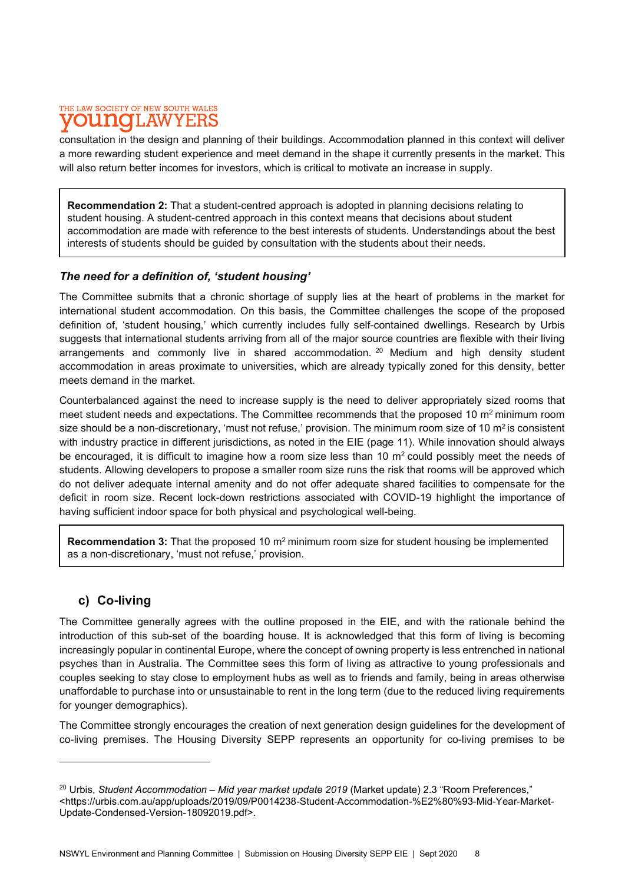#### THE LAW SOCIETY OF NEW SOUTH WALES **UNOLAW** Y F.F

consultation in the design and planning of their buildings. Accommodation planned in this context will deliver a more rewarding student experience and meet demand in the shape it currently presents in the market. This will also return better incomes for investors, which is critical to motivate an increase in supply.

Recommendation 2: That a student-centred approach is adopted in planning decisions relating to student housing. A student-centred approach in this context means that decisions about student accommodation are made with reference to the best interests of students. Understandings about the best interests of students should be guided by consultation with the students about their needs.

# The need for a definition of, 'student housing'

The Committee submits that a chronic shortage of supply lies at the heart of problems in the market for international student accommodation. On this basis, the Committee challenges the scope of the proposed definition of, 'student housing,' which currently includes fully self-contained dwellings. Research by Urbis suggests that international students arriving from all of the major source countries are flexible with their living arrangements and commonly live in shared accommodation. <sup>20</sup> Medium and high density student accommodation in areas proximate to universities, which are already typically zoned for this density, better meets demand in the market.

Counterbalanced against the need to increase supply is the need to deliver appropriately sized rooms that meet student needs and expectations. The Committee recommends that the proposed 10  $\text{m}^2$  minimum room size should be a non-discretionary, 'must not refuse,' provision. The minimum room size of 10 m<sup>2</sup> is consistent with industry practice in different jurisdictions, as noted in the EIE (page 11). While innovation should always be encouraged, it is difficult to imagine how a room size less than 10  $m<sup>2</sup>$  could possibly meet the needs of students. Allowing developers to propose a smaller room size runs the risk that rooms will be approved which do not deliver adequate internal amenity and do not offer adequate shared facilities to compensate for the deficit in room size. Recent lock-down restrictions associated with COVID-19 highlight the importance of having sufficient indoor space for both physical and psychological well-being.

Recommendation 3: That the proposed 10  $m<sup>2</sup>$  minimum room size for student housing be implemented as a non-discretionary, 'must not refuse,' provision.

# c) Co-living

The Committee generally agrees with the outline proposed in the EIE, and with the rationale behind the introduction of this sub-set of the boarding house. It is acknowledged that this form of living is becoming increasingly popular in continental Europe, where the concept of owning property is less entrenched in national psyches than in Australia. The Committee sees this form of living as attractive to young professionals and couples seeking to stay close to employment hubs as well as to friends and family, being in areas otherwise unaffordable to purchase into or unsustainable to rent in the long term (due to the reduced living requirements for younger demographics).

The Committee strongly encourages the creation of next generation design guidelines for the development of co-living premises. The Housing Diversity SEPP represents an opportunity for co-living premises to be

 $20$  Urbis, Student Accommodation – Mid year market update 2019 (Market update) 2.3 "Room Preferences," <https://urbis.com.au/app/uploads/2019/09/P0014238-Student-Accommodation-%E2%80%93-Mid-Year-Market-Update-Condensed-Version-18092019.pdf>.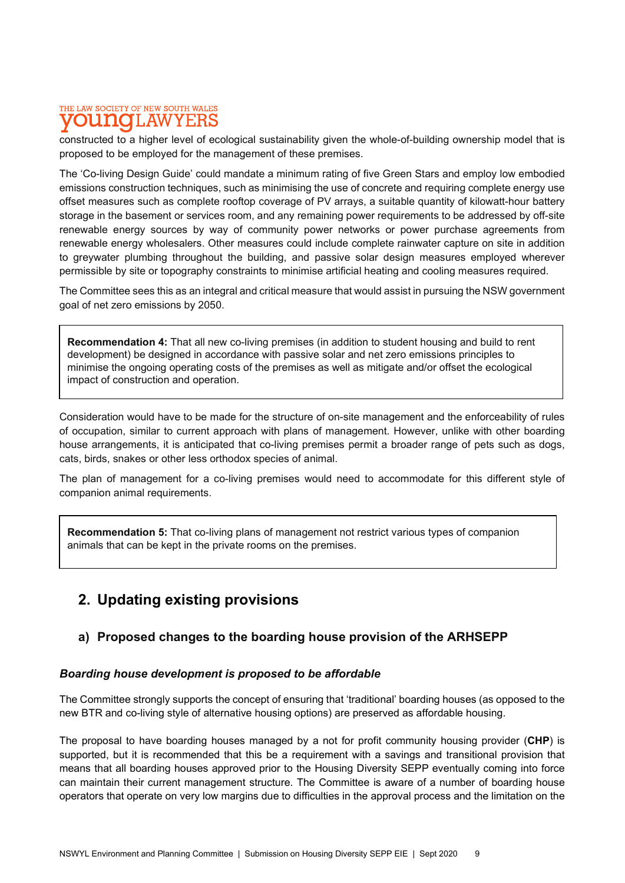#### THE LAW SOCIETY OF NEW SOUTH WALES umo 1.AW

constructed to a higher level of ecological sustainability given the whole-of-building ownership model that is proposed to be employed for the management of these premises.

The 'Co-living Design Guide' could mandate a minimum rating of five Green Stars and employ low embodied emissions construction techniques, such as minimising the use of concrete and requiring complete energy use offset measures such as complete rooftop coverage of PV arrays, a suitable quantity of kilowatt-hour battery storage in the basement or services room, and any remaining power requirements to be addressed by off-site renewable energy sources by way of community power networks or power purchase agreements from renewable energy wholesalers. Other measures could include complete rainwater capture on site in addition to greywater plumbing throughout the building, and passive solar design measures employed wherever permissible by site or topography constraints to minimise artificial heating and cooling measures required.

The Committee sees this as an integral and critical measure that would assist in pursuing the NSW government goal of net zero emissions by 2050.

Recommendation 4: That all new co-living premises (in addition to student housing and build to rent development) be designed in accordance with passive solar and net zero emissions principles to minimise the ongoing operating costs of the premises as well as mitigate and/or offset the ecological impact of construction and operation.

Consideration would have to be made for the structure of on-site management and the enforceability of rules of occupation, similar to current approach with plans of management. However, unlike with other boarding house arrangements, it is anticipated that co-living premises permit a broader range of pets such as dogs, cats, birds, snakes or other less orthodox species of animal.

The plan of management for a co-living premises would need to accommodate for this different style of companion animal requirements.

Recommendation 5: That co-living plans of management not restrict various types of companion animals that can be kept in the private rooms on the premises.

# 2. Updating existing provisions

# a) Proposed changes to the boarding house provision of the ARHSEPP

### Boarding house development is proposed to be affordable

The Committee strongly supports the concept of ensuring that 'traditional' boarding houses (as opposed to the new BTR and co-living style of alternative housing options) are preserved as affordable housing.

The proposal to have boarding houses managed by a not for profit community housing provider (CHP) is supported, but it is recommended that this be a requirement with a savings and transitional provision that means that all boarding houses approved prior to the Housing Diversity SEPP eventually coming into force can maintain their current management structure. The Committee is aware of a number of boarding house operators that operate on very low margins due to difficulties in the approval process and the limitation on the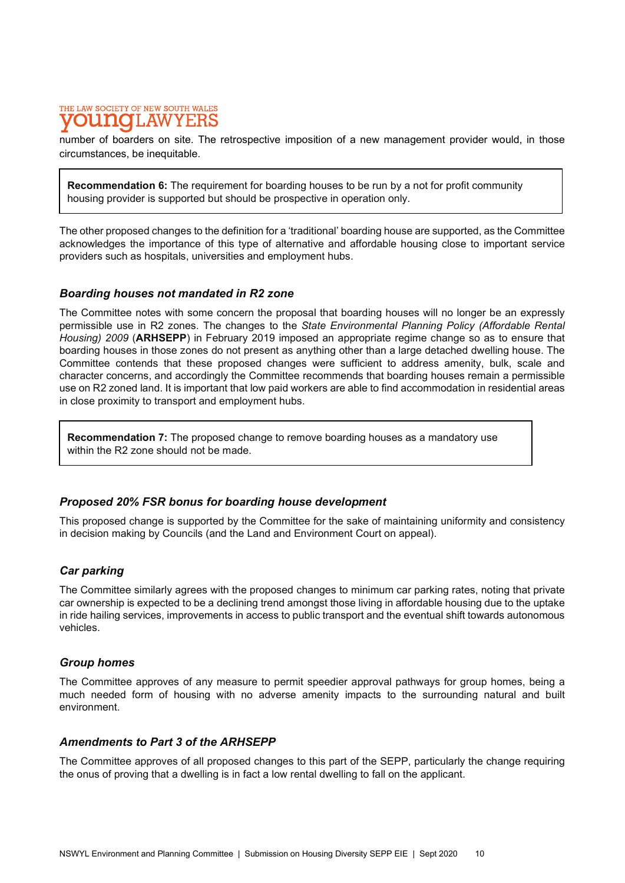# THE LAW SOCIETY OF NEW SOUTH WALES I.AW

number of boarders on site. The retrospective imposition of a new management provider would, in those circumstances, be inequitable.

**Recommendation 6:** The requirement for boarding houses to be run by a not for profit community housing provider is supported but should be prospective in operation only.

The other proposed changes to the definition for a 'traditional' boarding house are supported, as the Committee acknowledges the importance of this type of alternative and affordable housing close to important service providers such as hospitals, universities and employment hubs.

### Boarding houses not mandated in R2 zone

The Committee notes with some concern the proposal that boarding houses will no longer be an expressly permissible use in R2 zones. The changes to the State Environmental Planning Policy (Affordable Rental Housing) 2009 (ARHSEPP) in February 2019 imposed an appropriate regime change so as to ensure that boarding houses in those zones do not present as anything other than a large detached dwelling house. The Committee contends that these proposed changes were sufficient to address amenity, bulk, scale and character concerns, and accordingly the Committee recommends that boarding houses remain a permissible use on R2 zoned land. It is important that low paid workers are able to find accommodation in residential areas in close proximity to transport and employment hubs.

Recommendation 7: The proposed change to remove boarding houses as a mandatory use within the R2 zone should not be made.

### Proposed 20% FSR bonus for boarding house development

This proposed change is supported by the Committee for the sake of maintaining uniformity and consistency in decision making by Councils (and the Land and Environment Court on appeal).

### Car parking

The Committee similarly agrees with the proposed changes to minimum car parking rates, noting that private car ownership is expected to be a declining trend amongst those living in affordable housing due to the uptake in ride hailing services, improvements in access to public transport and the eventual shift towards autonomous vehicles.

### Group homes

The Committee approves of any measure to permit speedier approval pathways for group homes, being a much needed form of housing with no adverse amenity impacts to the surrounding natural and built environment.

### Amendments to Part 3 of the ARHSEPP

The Committee approves of all proposed changes to this part of the SEPP, particularly the change requiring the onus of proving that a dwelling is in fact a low rental dwelling to fall on the applicant.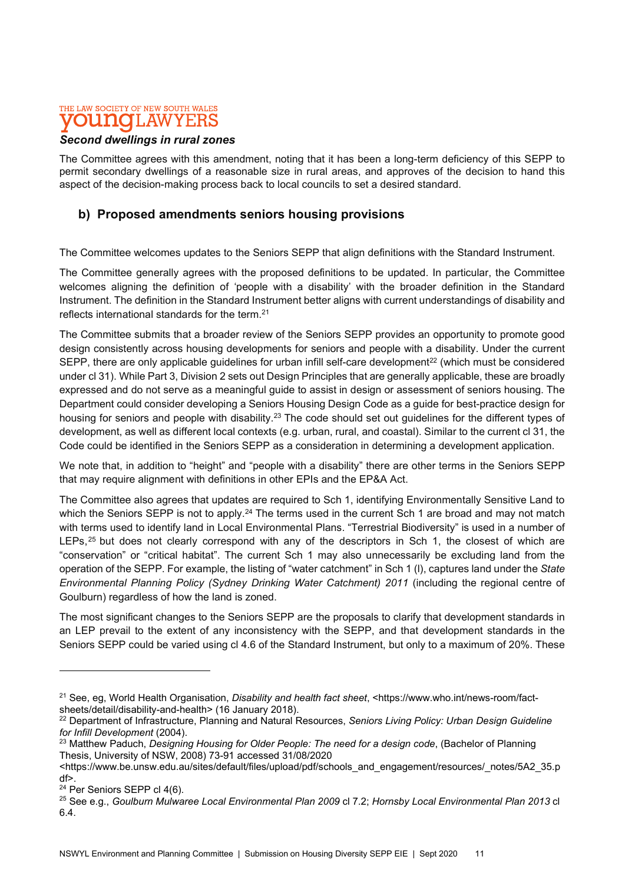#### THE LAW SOCIETY OF NEW SOUTH WALES 1110 'LAW Y E:F

# Second dwellings in rural zones

The Committee agrees with this amendment, noting that it has been a long-term deficiency of this SEPP to permit secondary dwellings of a reasonable size in rural areas, and approves of the decision to hand this aspect of the decision-making process back to local councils to set a desired standard.

# b) Proposed amendments seniors housing provisions

The Committee welcomes updates to the Seniors SEPP that align definitions with the Standard Instrument.

The Committee generally agrees with the proposed definitions to be updated. In particular, the Committee welcomes aligning the definition of 'people with a disability' with the broader definition in the Standard Instrument. The definition in the Standard Instrument better aligns with current understandings of disability and reflects international standards for the term.<sup>21</sup>

The Committee submits that a broader review of the Seniors SEPP provides an opportunity to promote good design consistently across housing developments for seniors and people with a disability. Under the current SEPP, there are only applicable quidelines for urban infill self-care development<sup>22</sup> (which must be considered under cl 31). While Part 3, Division 2 sets out Design Principles that are generally applicable, these are broadly expressed and do not serve as a meaningful guide to assist in design or assessment of seniors housing. The Department could consider developing a Seniors Housing Design Code as a guide for best-practice design for housing for seniors and people with disability.<sup>23</sup> The code should set out guidelines for the different types of development, as well as different local contexts (e.g. urban, rural, and coastal). Similar to the current cl 31, the Code could be identified in the Seniors SEPP as a consideration in determining a development application.

We note that, in addition to "height" and "people with a disability" there are other terms in the Seniors SEPP that may require alignment with definitions in other EPIs and the EP&A Act.

The Committee also agrees that updates are required to Sch 1, identifying Environmentally Sensitive Land to which the Seniors SEPP is not to apply.<sup>24</sup> The terms used in the current Sch 1 are broad and may not match with terms used to identify land in Local Environmental Plans. "Terrestrial Biodiversity" is used in a number of LEPs,<sup>25</sup> but does not clearly correspond with any of the descriptors in Sch 1, the closest of which are "conservation" or "critical habitat". The current Sch 1 may also unnecessarily be excluding land from the operation of the SEPP. For example, the listing of "water catchment" in Sch 1 (I), captures land under the State Environmental Planning Policy (Sydney Drinking Water Catchment) 2011 (including the regional centre of Goulburn) regardless of how the land is zoned.

The most significant changes to the Seniors SEPP are the proposals to clarify that development standards in an LEP prevail to the extent of any inconsistency with the SEPP, and that development standards in the Seniors SEPP could be varied using cl 4.6 of the Standard Instrument, but only to a maximum of 20%. These

<sup>&</sup>lt;sup>21</sup> See, eg, World Health Organisation, *Disability and health fact sheet*, <https://www.who.int/news-room/factsheets/detail/disability-and-health> (16 January 2018).

<sup>&</sup>lt;sup>22</sup> Department of Infrastructure, Planning and Natural Resources, Seniors Living Policy: Urban Design Guideline for Infill Development (2004).

<sup>&</sup>lt;sup>23</sup> Matthew Paduch, Designing Housing for Older People: The need for a design code, (Bachelor of Planning Thesis, University of NSW, 2008) 73-91 accessed 31/08/2020

<sup>&</sup>lt;https://www.be.unsw.edu.au/sites/default/files/upload/pdf/schools\_and\_engagement/resources/\_notes/5A2\_35.p df>.

<sup>&</sup>lt;sup>24</sup> Per Seniors SEPP cl 4(6).

<sup>&</sup>lt;sup>25</sup> See e.g., Goulburn Mulwaree Local Environmental Plan 2009 cl 7.2; Hornsby Local Environmental Plan 2013 cl 6.4.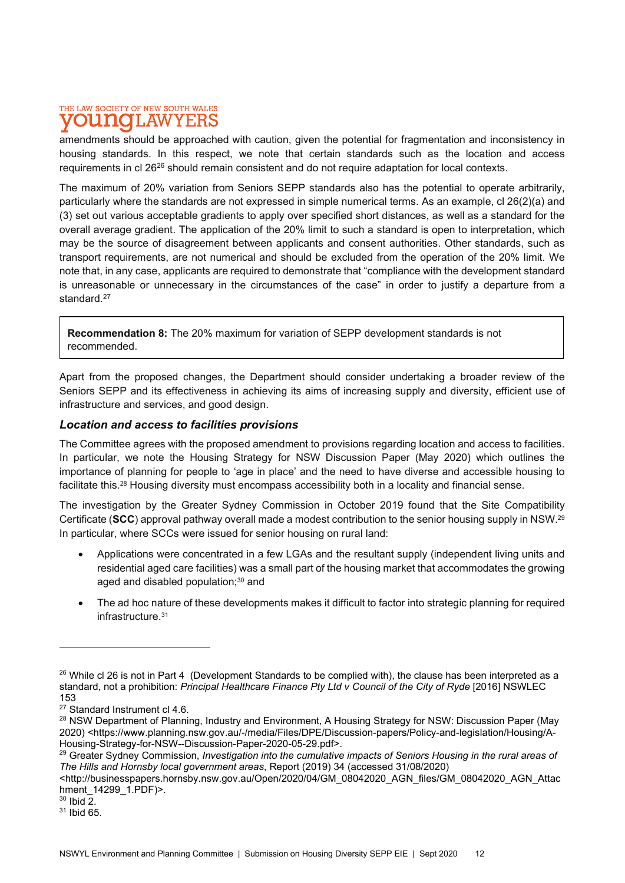#### THE LAW SOCIETY OF NEW SOUTH WALES **UNOLAW** YEF

amendments should be approached with caution, given the potential for fragmentation and inconsistency in housing standards. In this respect, we note that certain standards such as the location and access requirements in cl 26<sup>26</sup> should remain consistent and do not require adaptation for local contexts.

The maximum of 20% variation from Seniors SEPP standards also has the potential to operate arbitrarily, particularly where the standards are not expressed in simple numerical terms. As an example, cl 26(2)(a) and (3) set out various acceptable gradients to apply over specified short distances, as well as a standard for the overall average gradient. The application of the 20% limit to such a standard is open to interpretation, which may be the source of disagreement between applicants and consent authorities. Other standards, such as transport requirements, are not numerical and should be excluded from the operation of the 20% limit. We note that, in any case, applicants are required to demonstrate that "compliance with the development standard is unreasonable or unnecessary in the circumstances of the case" in order to justify a departure from a standard.<sup>27</sup>

Recommendation 8: The 20% maximum for variation of SEPP development standards is not recommended.

Apart from the proposed changes, the Department should consider undertaking a broader review of the Seniors SEPP and its effectiveness in achieving its aims of increasing supply and diversity, efficient use of infrastructure and services, and good design.

# Location and access to facilities provisions

The Committee agrees with the proposed amendment to provisions regarding location and access to facilities. In particular, we note the Housing Strategy for NSW Discussion Paper (May 2020) which outlines the importance of planning for people to 'age in place' and the need to have diverse and accessible housing to facilitate this.28 Housing diversity must encompass accessibility both in a locality and financial sense.

The investigation by the Greater Sydney Commission in October 2019 found that the Site Compatibility Certificate (SCC) approval pathway overall made a modest contribution to the senior housing supply in NSW.<sup>29</sup> In particular, where SCCs were issued for senior housing on rural land:

- Applications were concentrated in a few LGAs and the resultant supply (independent living units and residential aged care facilities) was a small part of the housing market that accommodates the growing aged and disabled population;<sup>30</sup> and
- The ad hoc nature of these developments makes it difficult to factor into strategic planning for required infrastructure.<sup>31</sup>

 $30$  Ibid  $\overline{2}$ .

 $^{26}$  While cl 26 is not in Part 4 (Development Standards to be complied with), the clause has been interpreted as a standard, not a prohibition: Principal Healthcare Finance Pty Ltd v Council of the City of Ryde [2016] NSWLEC 153

<sup>27</sup> Standard Instrument cl 4.6.

<sup>&</sup>lt;sup>28</sup> NSW Department of Planning, Industry and Environment, A Housing Strategy for NSW: Discussion Paper (May 2020) <https://www.planning.nsw.gov.au/-/media/Files/DPE/Discussion-papers/Policy-and-legislation/Housing/A-Housing-Strategy-for-NSW--Discussion-Paper-2020-05-29.pdf>.

<sup>&</sup>lt;sup>29</sup> Greater Sydney Commission, Investigation into the cumulative impacts of Seniors Housing in the rural areas of The Hills and Hornsby local government areas, Report (2019) 34 (accessed 31/08/2020)

<sup>&</sup>lt;http://businesspapers.hornsby.nsw.gov.au/Open/2020/04/GM\_08042020\_AGN\_files/GM\_08042020\_AGN\_Attac hment 14299 1.PDF)>.

<sup>31</sup> Ibid 65.